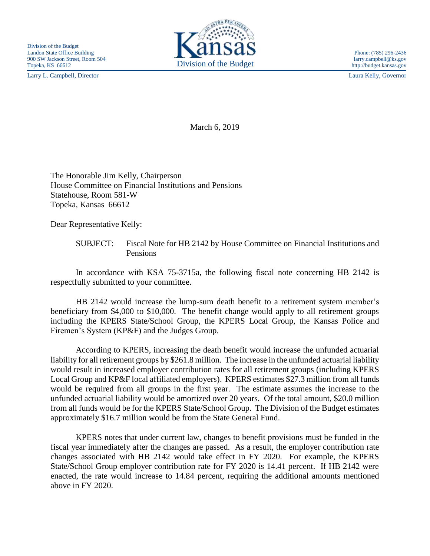Larry L. Campbell, Director Laura Kelly, Governor



http://budget.kansas.gov

March 6, 2019

The Honorable Jim Kelly, Chairperson House Committee on Financial Institutions and Pensions Statehouse, Room 581-W Topeka, Kansas 66612

Dear Representative Kelly:

SUBJECT: Fiscal Note for HB 2142 by House Committee on Financial Institutions and Pensions

In accordance with KSA 75-3715a, the following fiscal note concerning HB 2142 is respectfully submitted to your committee.

HB 2142 would increase the lump-sum death benefit to a retirement system member's beneficiary from \$4,000 to \$10,000. The benefit change would apply to all retirement groups including the KPERS State/School Group, the KPERS Local Group, the Kansas Police and Firemen's System (KP&F) and the Judges Group.

According to KPERS, increasing the death benefit would increase the unfunded actuarial liability for all retirement groups by \$261.8 million. The increase in the unfunded actuarial liability would result in increased employer contribution rates for all retirement groups (including KPERS Local Group and KP&F local affiliated employers). KPERS estimates \$27.3 million from all funds would be required from all groups in the first year. The estimate assumes the increase to the unfunded actuarial liability would be amortized over 20 years. Of the total amount, \$20.0 million from all funds would be for the KPERS State/School Group. The Division of the Budget estimates approximately \$16.7 million would be from the State General Fund.

KPERS notes that under current law, changes to benefit provisions must be funded in the fiscal year immediately after the changes are passed. As a result, the employer contribution rate changes associated with HB 2142 would take effect in FY 2020. For example, the KPERS State/School Group employer contribution rate for FY 2020 is 14.41 percent. If HB 2142 were enacted, the rate would increase to 14.84 percent, requiring the additional amounts mentioned above in FY 2020.